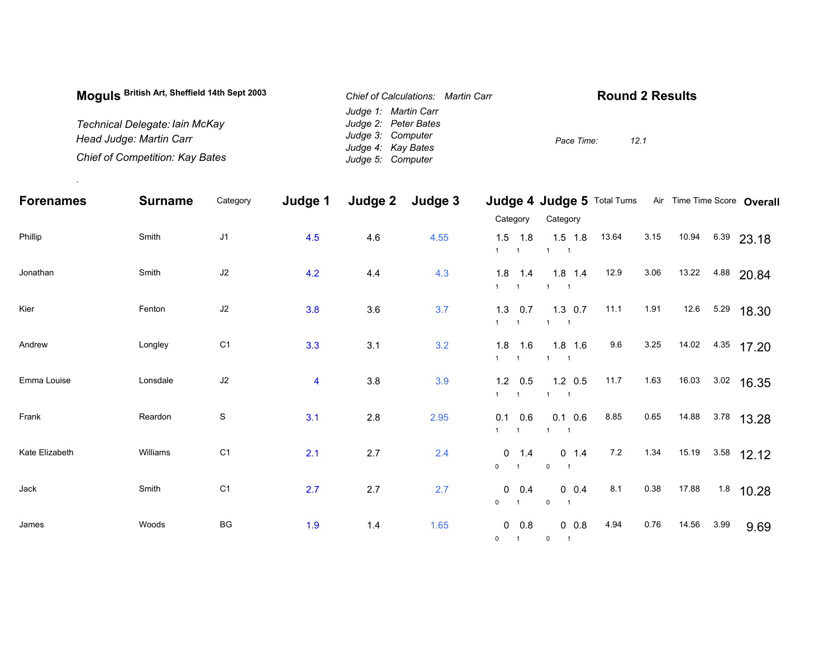| Moguls British Art, Sheffield 14th Sept 2003 | Chief of Calculations: Martin Carr      | <b>Round 2 Results</b> |
|----------------------------------------------|-----------------------------------------|------------------------|
|                                              | Judge 1: Martin Carr                    |                        |
| Technical Delegate: Iain McKay               | Judge 2: Peter Bates                    |                        |
| Head Judge: Martin Carr                      | Judge 3: Computer                       | 12.1<br>Pace Time:     |
| Chief of Competition: Kay Bates              | Judge 4: Kay Bates<br>Judge 5: Computer |                        |

.

| <b>Forenames</b> | <b>Surname</b> | Category       | Judge 1                 | Judge 2 | Judge 3 |                                                     | Judge 4 Judge 5 Total Turns                  |       |      |       | Air Time Time Score Overall |
|------------------|----------------|----------------|-------------------------|---------|---------|-----------------------------------------------------|----------------------------------------------|-------|------|-------|-----------------------------|
|                  |                |                |                         |         |         | Category                                            | Category                                     |       |      |       |                             |
| Phillip          | Smith          | J1             | 4.5                     | 4.6     | 4.55    | 1.8<br>1.5<br>$1 \quad 1$                           | $1.5$ 1.8<br>$1 \quad 1$                     | 13.64 | 3.15 | 10.94 | 6.39<br>23.18               |
| Jonathan         | Smith          | J2             | 4.2                     | 4.4     | 4.3     | 1.8<br>1.4<br>$1 \quad 1$                           | $1.8$ 1.4<br>$1 \quad 1$                     | 12.9  | 3.06 | 13.22 | 4.88 20.84                  |
| Kier             | Fenton         | J2             | 3.8                     | 3.6     | 3.7     | $1.3 \quad 0.7$<br>$1 \quad 1$                      | $1.3 \t0.7$<br>$1 \quad 1$                   | 11.1  | 1.91 |       | 12.6 5.29 18.30             |
| Andrew           | Longley        | C <sub>1</sub> | 3.3                     | 3.1     | 3.2     | $1.8$ 1.6<br>$1 \quad 1$                            | $1.8$ 1.6<br>$1 \quad 1$                     | 9.6   | 3.25 |       | 14.02 4.35 17.20            |
| Emma Louise      | Lonsdale       | $\sf J2$       | $\overline{\mathbf{4}}$ | 3.8     | 3.9     | $1.2\quad 0.5$<br>$1 \quad 1$                       | $1.2 \quad 0.5$<br>$1 \quad 1$               | 11.7  | 1.63 | 16.03 | $3.02$ 16.35                |
| Frank            | Reardon        | $\mathbf S$    | 3.1                     | $2.8\,$ | 2.95    | 0.1<br>0.6<br>1<br>$\overline{1}$                   | $0.1\ 0.6$<br>$1 \quad 1$                    | 8.85  | 0.65 | 14.88 | $3.78$ 13.28                |
| Kate Elizabeth   | Williams       | C <sub>1</sub> | 2.1                     | 2.7     | 2.4     | $0 \t 1.4$<br>$0 \qquad 1$                          | $0 \t1.4$<br>$\mathbf 0$                     | 7.2   | 1.34 | 15.19 | $3.58$ 12.12                |
| Jack             | Smith          | C <sub>1</sub> | 2.7                     | 2.7     | 2.7     | $0 \t 0.4$<br>$\mathbf 0$<br>$\overline{1}$         | $0 \t0.4$<br>$\mathbf 0$<br>$\overline{1}$   | 8.1   | 0.38 | 17.88 | $1.8$ 10.28                 |
| James            | Woods          | BG             | 1.9                     | 1.4     | 1.65    | $\mathbf 0$<br>0.8<br>$\mathbf 0$<br>$\overline{1}$ | $0\ 0.8$<br>$\overline{0}$<br>$\overline{1}$ | 4.94  | 0.76 | 14.56 | 3.99<br>9.69                |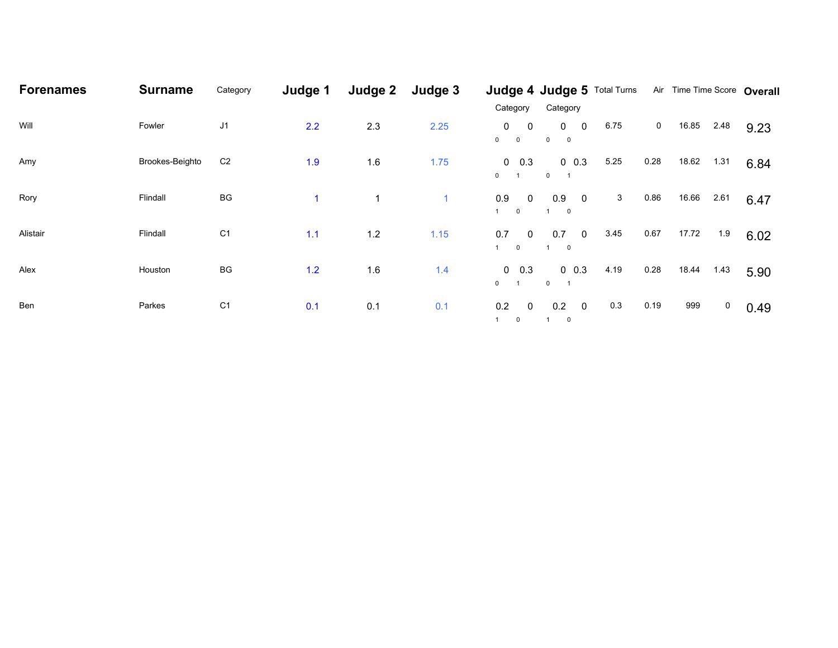| <b>Forenames</b> | <b>Surname</b>  | Category       | Judge 1 | Judge 2 | Judge 3      |                                                                |                                         |      |             | Judge 4 Judge 5 Total Turns Air Time Time Score Overall |      |
|------------------|-----------------|----------------|---------|---------|--------------|----------------------------------------------------------------|-----------------------------------------|------|-------------|---------------------------------------------------------|------|
|                  |                 |                |         |         |              | Category                                                       | Category                                |      |             |                                                         |      |
| Will             | Fowler          | J <sub>1</sub> | 2.2     | 2.3     | 2.25         | 0<br>$\overline{0}$<br>$0\qquad 0$                             | $0\qquad 0$<br>$0\qquad 0$              | 6.75 | $\mathbf 0$ | 16.85<br>2.48                                           | 9.23 |
| Amy              | Brookes-Beighto | C <sub>2</sub> | 1.9     | 1.6     | 1.75         | $0\quad 0.3$<br>$\mathbf{0}$<br>$\overline{1}$                 | $0\ 0.3$<br>$\mathbf{0}$                | 5.25 | 0.28        | 18.62<br>1.31                                           | 6.84 |
| Rory             | Flindall        | BG             | 1       | 1       | $\mathbf{1}$ | 0.9<br>$\overline{0}$<br>1<br>$\overline{0}$                   | $0.9\ 0$<br>$\overline{\phantom{0}}$    | 3    | 0.86        | 16.66<br>2.61                                           | 6.47 |
| Alistair         | Flindall        | C <sub>1</sub> | 1.1     | 1.2     | $1.15$       | 0.7<br>$\overline{\mathbf{0}}$<br>$\overline{\mathbf{0}}$<br>1 | $0.7\ 0$<br>$1 \qquad 0$                | 3.45 | 0.67        | 17.72<br>1.9                                            | 6.02 |
| Alex             | Houston         | BG             | 1.2     | 1.6     | 1.4          | $0\quad 0.3$<br>$\mathbf{0}$                                   | $0\ 0.3$<br>$\mathbf{0}$                | 4.19 | 0.28        | 18.44<br>1.43                                           | 5.90 |
| Ben              | Parkes          | C <sub>1</sub> | 0.1     | 0.1     | 0.1          | 0.2<br>$\overline{0}$<br>1<br>$\mathbf 0$                      | $0.2\qquad$<br>$\overline{\phantom{0}}$ | 0.3  | 0.19        | 999<br>$\overline{0}$                                   | 0.49 |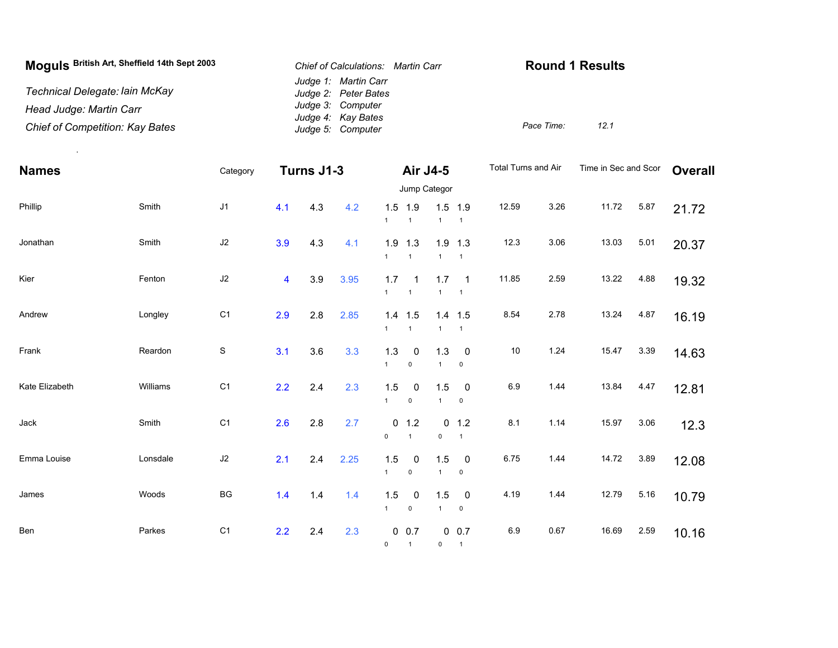| Moguls British Art, Sheffield 14th Sept 2003 | Chief of Calculations: Martin Carr           | <b>Round 1 Results</b> |      |
|----------------------------------------------|----------------------------------------------|------------------------|------|
| Technical Delegate: Iain McKay               | Judge 1: Martin Carr<br>Judge 2: Peter Bates |                        |      |
| Head Judge: Martin Carr                      | Judge 3: Computer<br>Judge 4: Kay Bates      |                        |      |
| Chief of Competition: Kay Bates              | Judge 5: Computer                            | Pace Time:             | 12.1 |

.

| <b>Names</b>   |          | Category       |                         | Turns J1-3 |      |                     | Air J4-5                               |                       |                                              | Total Turns and Air |      | Time in Sec and Scor |      | <b>Overall</b> |
|----------------|----------|----------------|-------------------------|------------|------|---------------------|----------------------------------------|-----------------------|----------------------------------------------|---------------------|------|----------------------|------|----------------|
|                |          |                |                         |            |      |                     |                                        | Jump Categor          |                                              |                     |      |                      |      |                |
| Phillip        | Smith    | J1             | 4.1                     | 4.3        | 4.2  | $\mathbf{1}$        | $1.5$ 1.9<br>$\overline{1}$            | $\mathbf{1}$          | $1.5$ 1.9<br>$\overline{1}$                  | 12.59               | 3.26 | 11.72                | 5.87 | 21.72          |
| Jonathan       | Smith    | J2             | 3.9                     | 4.3        | 4.1  | $\mathbf{1}$        | $1.9$ 1.3<br>$\overline{1}$            | $\mathbf{1}$          | $1.9$ 1.3<br>$\overline{1}$                  | 12.3                | 3.06 | 13.03                | 5.01 | 20.37          |
| Kier           | Fenton   | $\sf J2$       | $\overline{\mathbf{4}}$ | 3.9        | 3.95 | 1.7<br>$\mathbf{1}$ | $\overline{1}$<br>$\mathbf{1}$         | 1.7<br>$\mathbf{1}$   | $\overline{\phantom{0}}$ 1<br>$\overline{1}$ | 11.85               | 2.59 | 13.22                | 4.88 | 19.32          |
| Andrew         | Longley  | C <sub>1</sub> | 2.9                     | 2.8        | 2.85 | $\mathbf{1}$        | $1.4$ 1.5<br>$\mathbf{1}$              | $\mathbf{1}$          | $1.4$ 1.5<br>$\mathbf{1}$                    | 8.54                | 2.78 | 13.24                | 4.87 | 16.19          |
| Frank          | Reardon  | $\mathbf S$    | 3.1                     | 3.6        | 3.3  | 1.3<br>$\mathbf{1}$ | $\mathbf 0$<br>$\pmb{0}$               | $1.3$<br>$\mathbf{1}$ | $\overline{0}$<br>$\mathsf 0$                | $10$                | 1.24 | 15.47                | 3.39 | 14.63          |
| Kate Elizabeth | Williams | C <sub>1</sub> | 2.2                     | 2.4        | 2.3  | 1.5<br>$\mathbf{1}$ | 0<br>$\mathsf 0$                       | 1.5<br>$\mathbf{1}$   | $\pmb{0}$<br>$\mathbf 0$                     | 6.9                 | 1.44 | 13.84                | 4.47 | 12.81          |
| Jack           | Smith    | C <sub>1</sub> | 2.6                     | 2.8        | 2.7  | $\mathsf 0$         | $0$ 1.2<br>$\overline{1}$              | 0<br>$\mathsf 0$      | 1.2<br>$\overline{1}$                        | 8.1                 | 1.14 | 15.97                | 3.06 | 12.3           |
| Emma Louise    | Lonsdale | $\sf J2$       | 2.1                     | 2.4        | 2.25 | 1.5<br>$\mathbf{1}$ | 0<br>$\mathbf 0$                       | 1.5<br>$\mathbf{1}$   | $\mathbf 0$<br>$\mathbf 0$                   | 6.75                | 1.44 | 14.72                | 3.89 | 12.08          |
| James          | Woods    | BG             | 1.4                     | 1.4        | 1.4  | 1.5<br>$\mathbf{1}$ | 0<br>$\mathsf{O}\xspace$               | 1.5<br>$\mathbf{1}$   | $\mathbf 0$<br>$\pmb{0}$                     | 4.19                | 1.44 | 12.79                | 5.16 | 10.79          |
| Ben            | Parkes   | C <sub>1</sub> | 2.2                     | 2.4        | 2.3  | 0                   | $0\ 0.7$<br>$\overline{\phantom{0}}$ 1 | $\mathsf 0$           | 0 0.7<br>$\overline{1}$                      | 6.9                 | 0.67 | 16.69                | 2.59 | 10.16          |
|                |          |                |                         |            |      |                     |                                        |                       |                                              |                     |      |                      |      |                |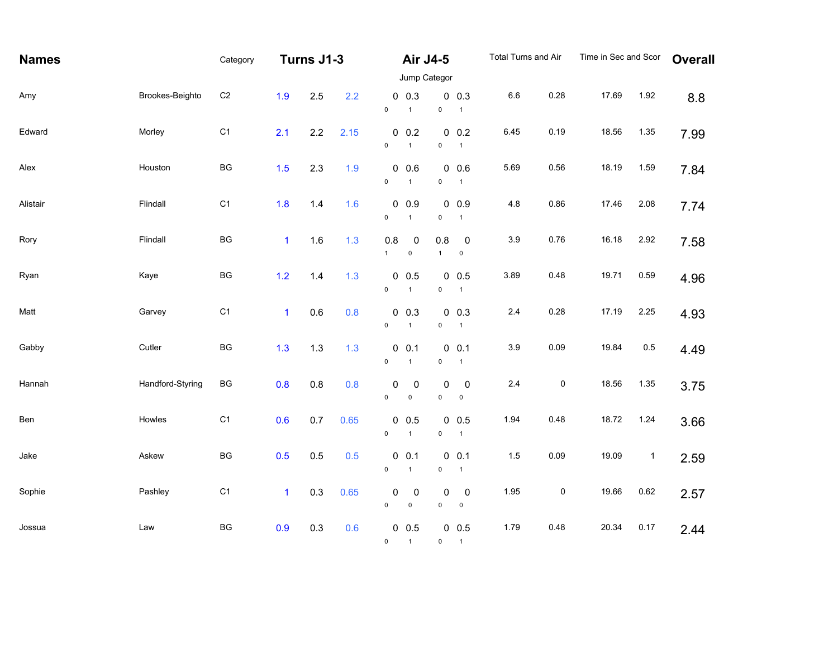| <b>Names</b> |                  | Category       |              | Turns J1-3 |      |                          | Air J4-5                     |                          |                              | Total Turns and Air |           | Time in Sec and Scor |             | <b>Overall</b> |
|--------------|------------------|----------------|--------------|------------|------|--------------------------|------------------------------|--------------------------|------------------------------|---------------------|-----------|----------------------|-------------|----------------|
|              |                  |                |              |            |      | Jump Categor             |                              |                          |                              |                     |           |                      |             |                |
| Amy          | Brookes-Beighto  | C <sub>2</sub> | 1.9          | 2.5        | 2.2  | $\mathsf{O}\xspace$      | $0\ 0.3$<br>$\mathbf{1}$     | $\mathsf 0$              | $0\ 0.3$<br>$\mathbf{1}$     | $6.6\,$             | 0.28      | 17.69                | 1.92        | 8.8            |
| Edward       | Morley           | C <sub>1</sub> | 2.1          | 2.2        | 2.15 | $\mathsf{O}\xspace$      | $0\ 0.2$<br>$\mathbf{1}$     | $\mathsf 0$              | $0\ 0.2$<br>$\mathbf{1}$     | 6.45                | 0.19      | 18.56                | 1.35        | 7.99           |
| Alex         | Houston          | BG             | 1.5          | 2.3        | 1.9  | $\mathsf{O}\xspace$      | 0.0.6<br>$\overline{1}$      | $\mathsf{O}\xspace$      | $0\ 0.6$<br>$\overline{1}$   | 5.69                | 0.56      | 18.19                | 1.59        | 7.84           |
| Alistair     | Flindall         | C <sub>1</sub> | 1.8          | 1.4        | 1.6  | $\mathsf{O}\xspace$      | $0\ 0.9$<br>$\mathbf{1}$     | $\pmb{0}$                | $0\ 0.9$<br>$\mathbf{1}$     | $4.8\,$             | 0.86      | 17.46                | 2.08        | 7.74           |
| Rory         | Flindall         | BG             | $\mathbf{1}$ | 1.6        | 1.3  | 0.8<br>$\mathbf{1}$      | $\pmb{0}$<br>$\pmb{0}$       | 0.8<br>$\mathbf{1}$      | $\pmb{0}$<br>$\pmb{0}$       | 3.9                 | 0.76      | 16.18                | 2.92        | 7.58           |
| Ryan         | Kaye             | BG             | $1.2$        | $1.4$      | 1.3  | $\mathsf{O}\xspace$      | $0\ 0.5$<br>$\mathbf{1}$     | $\pmb{0}$                | $0\ 0.5$<br>$\mathbf{1}$     | 3.89                | 0.48      | 19.71                | 0.59        | 4.96           |
| Matt         | Garvey           | C <sub>1</sub> | $\mathbf{1}$ | 0.6        | 0.8  | $\mathsf{O}\xspace$      | $0\ 0.3$<br>$\mathbf{1}$     | $\mathsf{O}\xspace$      | $0\ 0.3$<br>$\overline{1}$   | $2.4\,$             | 0.28      | 17.19                | 2.25        | 4.93           |
| Gabby        | Cutler           | BG             | 1.3          | 1.3        | 1.3  | $\mathsf{O}\xspace$      | 0 0.1<br>$\mathbf{1}$        | $\pmb{0}$                | $0 \t 0.1$<br>$\overline{1}$ | $3.9\,$             | 0.09      | 19.84                | $0.5\,$     | 4.49           |
| Hannah       | Handford-Styring | BG             | 0.8          | 0.8        | 0.8  | 0<br>$\mathsf 0$         | $\mathbf 0$<br>$\mathsf 0$   | 0<br>$\mathsf 0$         | $\mathbf 0$<br>$\pmb{0}$     | $2.4\,$             | $\pmb{0}$ | 18.56                | 1.35        | 3.75           |
| Ben          | Howles           | C <sub>1</sub> | 0.6          | 0.7        | 0.65 | $\mathsf{O}\xspace$      | $0\ 0.5$<br>$\overline{1}$   | $\pmb{0}$                | $0\ 0.5$<br>$\mathbf{1}$     | 1.94                | 0.48      | 18.72                | 1.24        | 3.66           |
| Jake         | Askew            | BG             | 0.5          | 0.5        | 0.5  | $\mathsf{O}\xspace$      | $0\quad 0.1$<br>$\mathbf{1}$ | $\mathsf{O}\xspace$      | $0\ 0.1$<br>$\mathbf{1}$     | 1.5                 | 0.09      | 19.09                | $\mathbf 1$ | 2.59           |
| Sophie       | Pashley          | C <sub>1</sub> | $\mathbf{1}$ | 0.3        | 0.65 | $\pmb{0}$<br>$\mathsf 0$ | $\pmb{0}$<br>$\pmb{0}$       | 0<br>$\mathsf{O}\xspace$ | $\pmb{0}$<br>$\pmb{0}$       | 1.95                | $\pmb{0}$ | 19.66                | 0.62        | 2.57           |
| Jossua       | Law              | BG             | 0.9          | 0.3        | 0.6  | $\Omega$                 | $0\ 0.5$<br>$\overline{1}$   |                          | $0\ 0.5$<br>$0 \quad 1$      | 1.79                | 0.48      | 20.34                | 0.17        | 2.44           |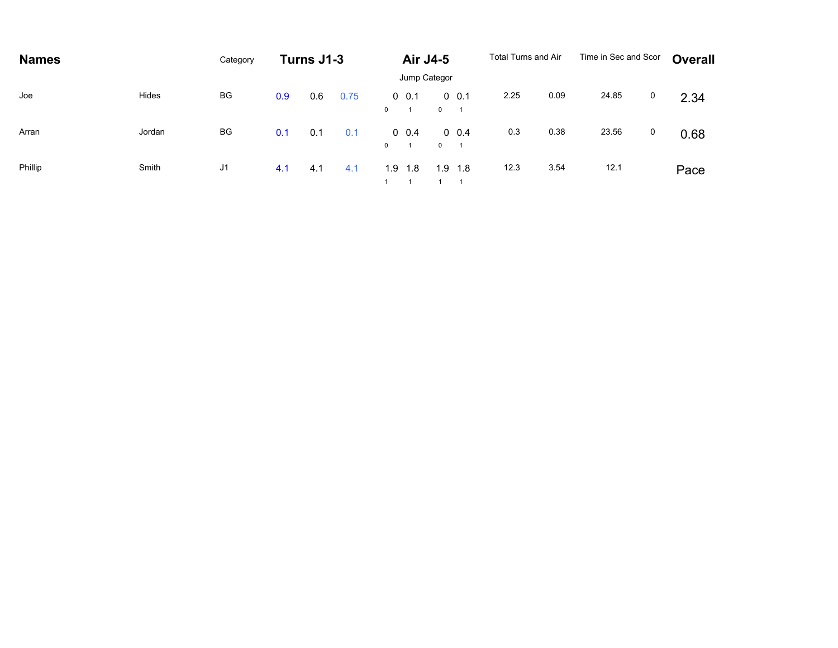| <b>Names</b> |        | Category |     | Turns J1-3 |      |              | <b>Air J4-5</b>        |              |              | Total Turns and Air |      | Time in Sec and Scor |   | Overall |
|--------------|--------|----------|-----|------------|------|--------------|------------------------|--------------|--------------|---------------------|------|----------------------|---|---------|
|              |        |          |     |            |      |              | Jump Categor           |              |              |                     |      |                      |   |         |
| Joe          | Hides  | BG       | 0.9 | 0.6        | 0.75 | $\mathbf{0}$ | $0\;\;0.1$<br>$\sim$ 1 | $0 \qquad 1$ | $0\quad 0.1$ | 2.25                | 0.09 | 24.85                | 0 | 2.34    |
| Arran        | Jordan | BG       | 0.1 | 0.1        | 0.1  | $\mathbf{0}$ | $0\quad 0.4$           | $0 \qquad 1$ | $0\quad 0.4$ | 0.3                 | 0.38 | 23.56                | 0 | 0.68    |
| Phillip      | Smith  | J1       | 4.1 | 4.1        | 4.1  |              | $1.9$ 1.8<br>1 1 1 1   | 1.9          | 1.8          | 12.3                | 3.54 | 12.1                 |   | Pace    |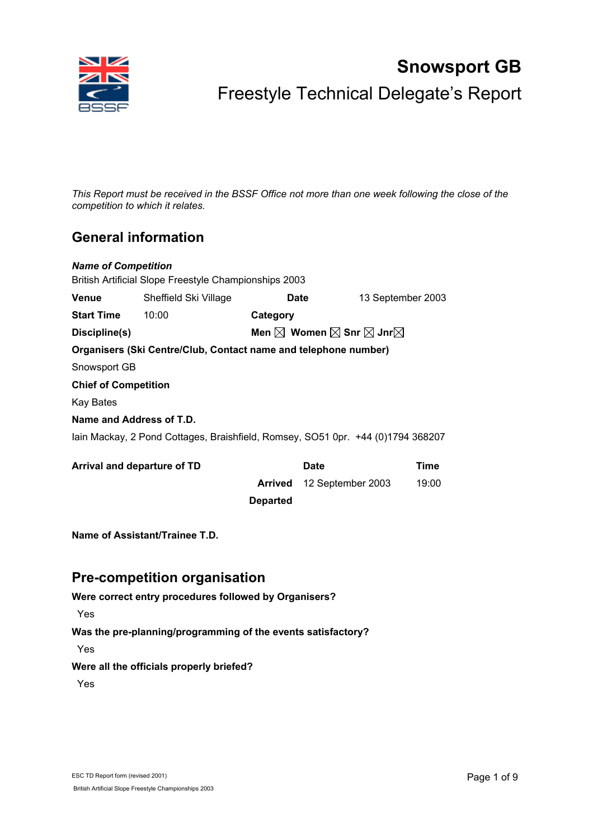

# **Snowsport GB**  Freestyle Technical Delegate's Report

*This Report must be received in the BSSF Office not more than one week following the close of the competition to which it relates.* 

# **General information**

| <b>Name of Competition</b>                            |                                                                                 |                 |                   |                   |       |  |  |  |
|-------------------------------------------------------|---------------------------------------------------------------------------------|-----------------|-------------------|-------------------|-------|--|--|--|
| British Artificial Slope Freestyle Championships 2003 |                                                                                 |                 |                   |                   |       |  |  |  |
| <b>Venue</b>                                          | Sheffield Ski Village                                                           |                 | Date              | 13 September 2003 |       |  |  |  |
| <b>Start Time</b><br>10:00<br>Category                |                                                                                 |                 |                   |                   |       |  |  |  |
| Discipline(s)                                         | Men $\boxtimes$ Women $\boxtimes$ Snr $\boxtimes$ Jnr $\boxtimes$               |                 |                   |                   |       |  |  |  |
|                                                       | Organisers (Ski Centre/Club, Contact name and telephone number)                 |                 |                   |                   |       |  |  |  |
| Snowsport GB                                          |                                                                                 |                 |                   |                   |       |  |  |  |
| <b>Chief of Competition</b>                           |                                                                                 |                 |                   |                   |       |  |  |  |
| <b>Kay Bates</b>                                      |                                                                                 |                 |                   |                   |       |  |  |  |
| Name and Address of T.D.                              |                                                                                 |                 |                   |                   |       |  |  |  |
|                                                       | lain Mackay, 2 Pond Cottages, Braishfield, Romsey, SO51 0pr. +44 (0)1794 368207 |                 |                   |                   |       |  |  |  |
| Arrival and departure of TD                           |                                                                                 |                 | <b>Date</b>       |                   | Time  |  |  |  |
|                                                       |                                                                                 | Arrived         | 12 September 2003 |                   | 19:00 |  |  |  |
|                                                       |                                                                                 | <b>Departed</b> |                   |                   |       |  |  |  |
|                                                       | Name of Assistant/Trainee T.D.                                                  |                 |                   |                   |       |  |  |  |

# **Pre-competition organisation**

**Were correct entry procedures followed by Organisers?**

Yes

**Was the pre-planning/programming of the events satisfactory?**

Yes

### **Were all the officials properly briefed?**

Yes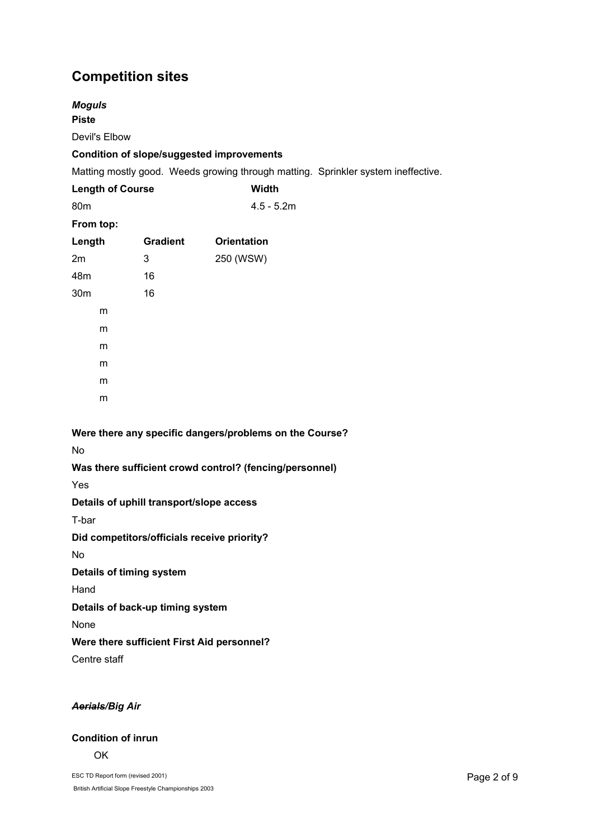# **Competition sites**

| <b>Moguls</b><br><b>Piste</b> |                         |                                                         |              |                                                                                   |
|-------------------------------|-------------------------|---------------------------------------------------------|--------------|-----------------------------------------------------------------------------------|
| Devil's Elbow                 |                         |                                                         |              |                                                                                   |
|                               |                         | <b>Condition of slope/suggested improvements</b>        |              |                                                                                   |
|                               |                         |                                                         |              | Matting mostly good. Weeds growing through matting. Sprinkler system ineffective. |
|                               | <b>Length of Course</b> |                                                         | <b>Width</b> |                                                                                   |
| 80m                           |                         |                                                         | $4.5 - 5.2m$ |                                                                                   |
| From top:                     |                         |                                                         |              |                                                                                   |
| Length                        | <b>Gradient</b>         | <b>Orientation</b>                                      |              |                                                                                   |
| 2m                            | 3                       | 250 (WSW)                                               |              |                                                                                   |
| 48m                           | 16                      |                                                         |              |                                                                                   |
| 30m                           | 16                      |                                                         |              |                                                                                   |
| m                             |                         |                                                         |              |                                                                                   |
| m                             |                         |                                                         |              |                                                                                   |
| m                             |                         |                                                         |              |                                                                                   |
| m                             |                         |                                                         |              |                                                                                   |
| m                             |                         |                                                         |              |                                                                                   |
| m                             |                         |                                                         |              |                                                                                   |
|                               |                         |                                                         |              |                                                                                   |
|                               |                         | Were there any specific dangers/problems on the Course? |              |                                                                                   |
| <b>No</b>                     |                         |                                                         |              |                                                                                   |
|                               |                         | Was there sufficient crowd control? (fencing/personnel) |              |                                                                                   |
| Yes                           |                         |                                                         |              |                                                                                   |
|                               |                         | Details of uphill transport/slope access                |              |                                                                                   |
| T-bar                         |                         |                                                         |              |                                                                                   |

**Did competitors/officials receive priority?** 

No

**Details of timing system**

Hand

**Details of back-up timing system** 

None

## **Were there sufficient First Aid personnel?**

Centre staff

## *Aerials/Big Air*

# **Condition of inrun**

OK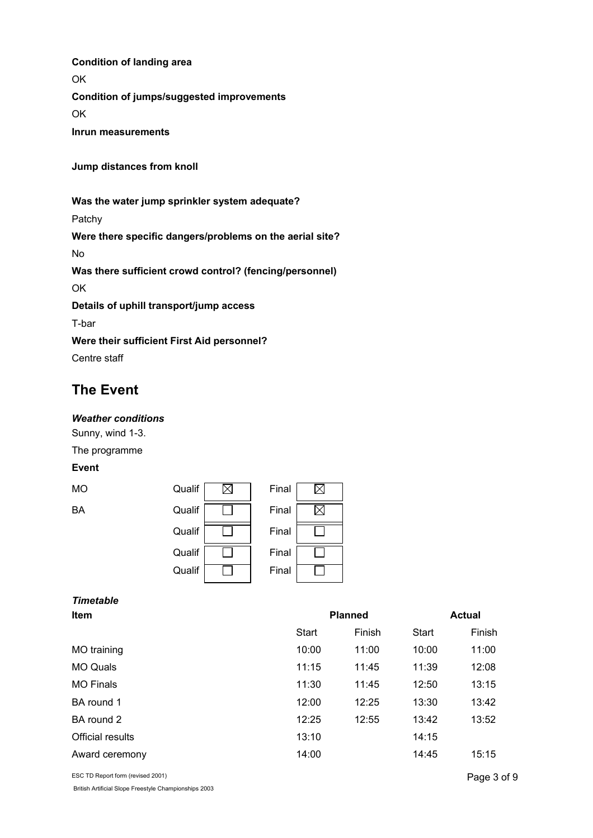**OK Condition of jumps/suggested improvements**  OK

**Inrun measurements** 

**Jump distances from knoll** 

**Condition of landing area**

**Was the water jump sprinkler system adequate?** 

Patchy

**Were there specific dangers/problems on the aerial site?** 

No

**Was there sufficient crowd control? (fencing/personnel)** 

OK

**Details of uphill transport/jump access** 

T-bar

**Were their sufficient First Aid personnel?** 

Centre staff

# **The Event**

#### *Weather conditions*

Sunny, wind 1-3.

The programme

# **Event**

| МO | Qualif | Final |
|----|--------|-------|
| ВA | Qualif | Final |
|    | Qualif | Final |
|    | Qualif | Final |
|    | Qualif | Final |

| Final |  |
|-------|--|
| Final |  |
| Final |  |
| Final |  |
| Final |  |

|      | <b>Timetable</b> |
|------|------------------|
| ltem |                  |

| <b>Item</b>             | <b>Planned</b> |        |              | <b>Actual</b> |  |
|-------------------------|----------------|--------|--------------|---------------|--|
|                         | Start          | Finish | <b>Start</b> | Finish        |  |
| MO training             | 10:00          | 11:00  | 10:00        | 11:00         |  |
| <b>MO Quals</b>         | 11:15          | 11:45  | 11:39        | 12:08         |  |
| <b>MO Finals</b>        | 11:30          | 11:45  | 12:50        | 13:15         |  |
| BA round 1              | 12:00          | 12:25  | 13:30        | 13:42         |  |
| BA round 2              | 12:25          | 12:55  | 13:42        | 13:52         |  |
| <b>Official results</b> | 13:10          |        | 14:15        |               |  |
| Award ceremony          | 14:00          |        | 14:45        | 15:15         |  |

ESC TD Report form (revised 2001)

British Artificial Slope Freestyle Championships 2003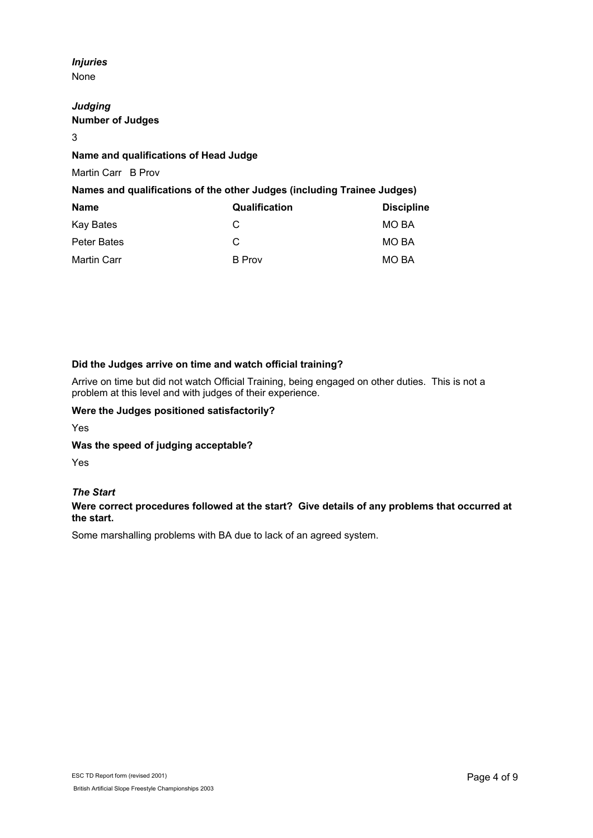#### *Injuries*  None

*Judging*  **Number of Judges**

#### 3

### **Name and qualifications of Head Judge**

Martin Carr B Prov

### **Names and qualifications of the other Judges (including Trainee Judges)**

| <b>Name</b> | Qualification | <b>Discipline</b> |
|-------------|---------------|-------------------|
| Kay Bates   | C             | MO BA             |
| Peter Bates | C             | MO BA             |
| Martin Carr | B Prov        | MO BA             |

### **Did the Judges arrive on time and watch official training?**

Arrive on time but did not watch Official Training, being engaged on other duties. This is not a problem at this level and with judges of their experience.

#### **Were the Judges positioned satisfactorily?**

Yes

#### **Was the speed of judging acceptable?**

Yes

#### *The Start*

### **Were correct procedures followed at the start? Give details of any problems that occurred at the start.**

Some marshalling problems with BA due to lack of an agreed system.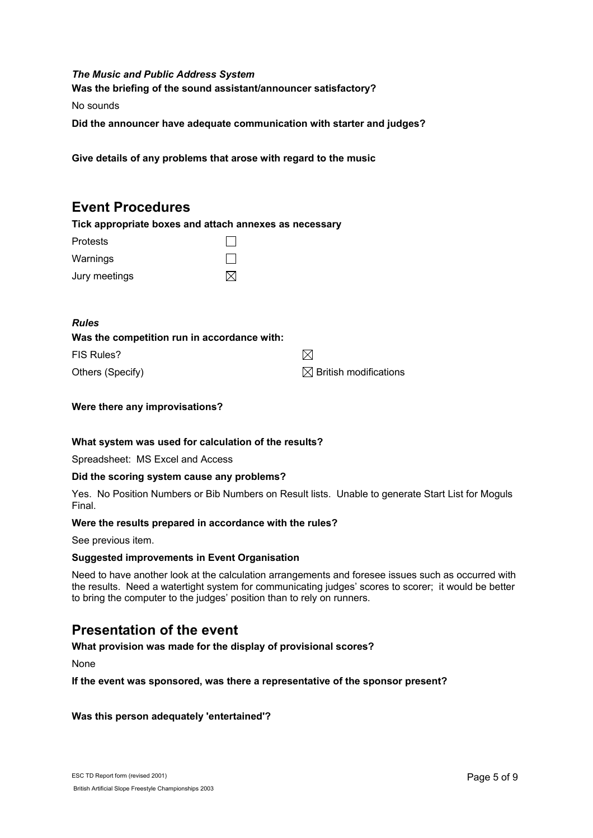### *The Music and Public Address System* **Was the briefing of the sound assistant/announcer satisfactory?**

No sounds

**Did the announcer have adequate communication with starter and judges?**

**Give details of any problems that arose with regard to the music** 

# **Event Procedures**

**Tick appropriate boxes and attach annexes as necessary**

| <b>Protests</b> |           |
|-----------------|-----------|
| Warnings        |           |
| Jury meetings   | $\bowtie$ |

#### *Rules*

| Was the competition run in accordance with: |                                   |
|---------------------------------------------|-----------------------------------|
| FIS Rules?                                  | M                                 |
| Others (Specify)                            | $\boxtimes$ British modifications |

#### **Were there any improvisations?**

#### **What system was used for calculation of the results?**

Spreadsheet: MS Excel and Access

#### **Did the scoring system cause any problems?**

Yes. No Position Numbers or Bib Numbers on Result lists. Unable to generate Start List for Moguls Final.

#### **Were the results prepared in accordance with the rules?**

See previous item.

#### **Suggested improvements in Event Organisation**

Need to have another look at the calculation arrangements and foresee issues such as occurred with the results. Need a watertight system for communicating judges' scores to scorer; it would be better to bring the computer to the judges' position than to rely on runners.

## **Presentation of the event**

#### **What provision was made for the display of provisional scores?**

None

**If the event was sponsored, was there a representative of the sponsor present?** 

### **Was this person adequately 'entertained'?**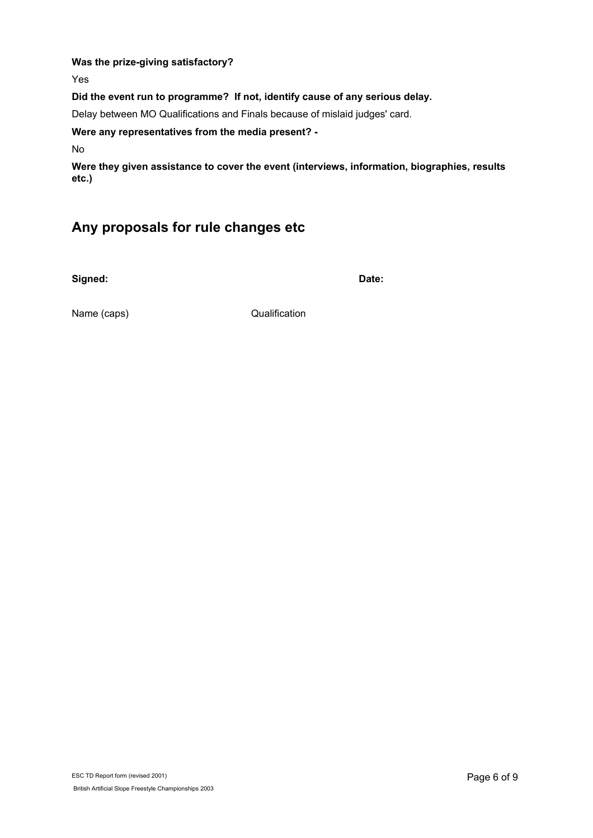# **Was the prize-giving satisfactory?**

Yes

**Did the event run to programme? If not, identify cause of any serious delay.**

Delay between MO Qualifications and Finals because of mislaid judges' card.

**Were any representatives from the media present? -** 

No

**Were they given assistance to cover the event (interviews, information, biographies, results etc.)** 

# **Any proposals for rule changes etc**

**Signed: Date:**

Name (caps) **Qualification**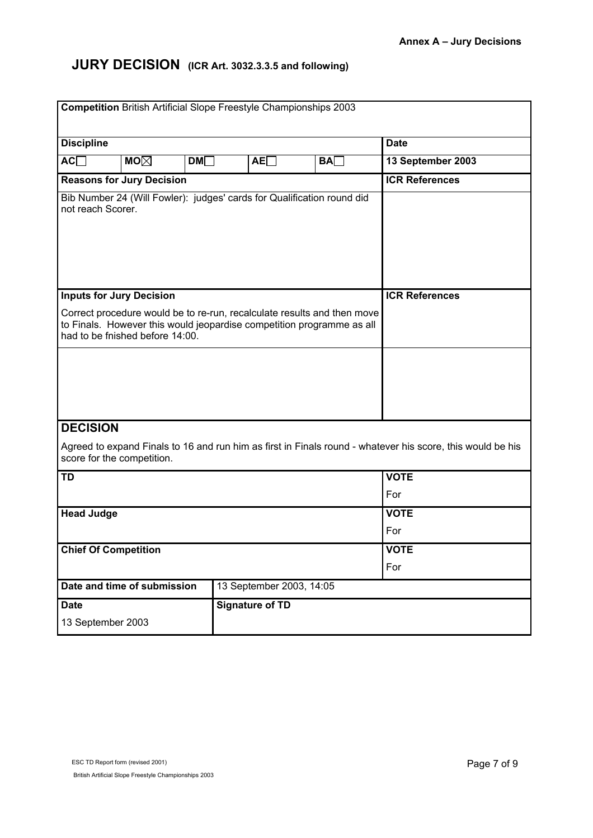# **JURY DECISION (ICR Art. 3032.3.3.5 and following)**

|                                                                                                                                                                                     | <b>Competition</b> British Artificial Slope Freestyle Championships 2003 |                          |             |                                                                                                            |  |  |
|-------------------------------------------------------------------------------------------------------------------------------------------------------------------------------------|--------------------------------------------------------------------------|--------------------------|-------------|------------------------------------------------------------------------------------------------------------|--|--|
|                                                                                                                                                                                     |                                                                          |                          |             |                                                                                                            |  |  |
| <b>Discipline</b>                                                                                                                                                                   |                                                                          |                          |             | <b>Date</b>                                                                                                |  |  |
| <b>MO<math>\boxtimes</math></b><br>AC                                                                                                                                               | DM                                                                       | AE                       | BA          | 13 September 2003                                                                                          |  |  |
| <b>Reasons for Jury Decision</b>                                                                                                                                                    |                                                                          |                          |             | <b>ICR References</b>                                                                                      |  |  |
| Bib Number 24 (Will Fowler): judges' cards for Qualification round did<br>not reach Scorer.                                                                                         |                                                                          |                          |             |                                                                                                            |  |  |
| <b>Inputs for Jury Decision</b>                                                                                                                                                     |                                                                          |                          |             | <b>ICR References</b>                                                                                      |  |  |
|                                                                                                                                                                                     |                                                                          |                          |             |                                                                                                            |  |  |
| Correct procedure would be to re-run, recalculate results and then move<br>to Finals. However this would jeopardise competition programme as all<br>had to be fnished before 14:00. |                                                                          |                          |             |                                                                                                            |  |  |
|                                                                                                                                                                                     |                                                                          |                          |             |                                                                                                            |  |  |
| <b>DECISION</b>                                                                                                                                                                     |                                                                          |                          |             |                                                                                                            |  |  |
| score for the competition.                                                                                                                                                          |                                                                          |                          |             | Agreed to expand Finals to 16 and run him as first in Finals round - whatever his score, this would be his |  |  |
| <b>TD</b>                                                                                                                                                                           |                                                                          |                          |             | <b>VOTE</b>                                                                                                |  |  |
|                                                                                                                                                                                     | For                                                                      |                          |             |                                                                                                            |  |  |
| <b>Head Judge</b>                                                                                                                                                                   |                                                                          |                          | <b>VOTE</b> |                                                                                                            |  |  |
|                                                                                                                                                                                     |                                                                          |                          |             | For                                                                                                        |  |  |
| <b>Chief Of Competition</b>                                                                                                                                                         |                                                                          |                          | <b>VOTE</b> |                                                                                                            |  |  |
|                                                                                                                                                                                     |                                                                          |                          |             | For                                                                                                        |  |  |
| Date and time of submission                                                                                                                                                         |                                                                          | 13 September 2003, 14:05 |             |                                                                                                            |  |  |
| <b>Date</b>                                                                                                                                                                         |                                                                          | <b>Signature of TD</b>   |             |                                                                                                            |  |  |
| 13 September 2003                                                                                                                                                                   |                                                                          |                          |             |                                                                                                            |  |  |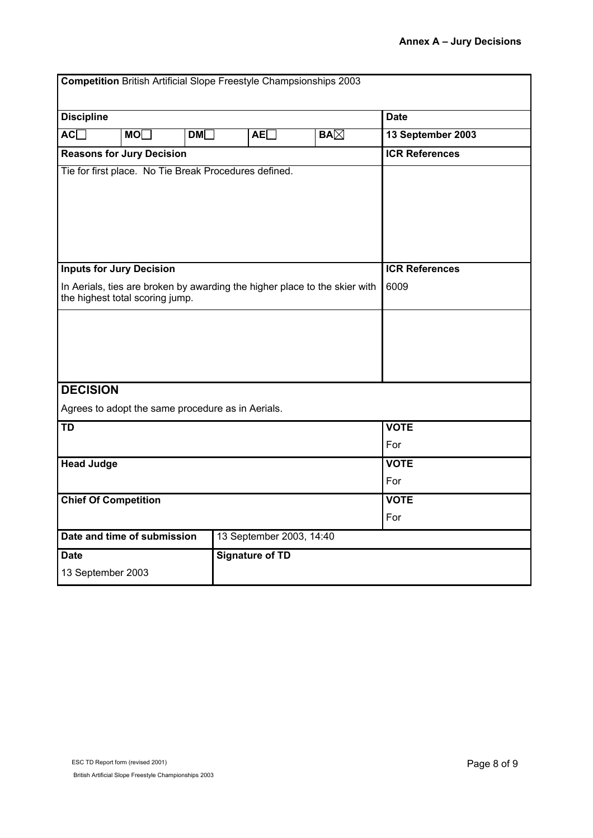| <b>Competition British Artificial Slope Freestyle Champsionships 2003</b>                                                                        |                                                   |             |                                                       |            |                               |
|--------------------------------------------------------------------------------------------------------------------------------------------------|---------------------------------------------------|-------------|-------------------------------------------------------|------------|-------------------------------|
| <b>Discipline</b>                                                                                                                                |                                                   | <b>Date</b> |                                                       |            |                               |
| AC                                                                                                                                               | MO                                                | DM          | AE                                                    | $BA\times$ | 13 September 2003             |
|                                                                                                                                                  | <b>Reasons for Jury Decision</b>                  |             |                                                       |            | <b>ICR References</b>         |
|                                                                                                                                                  |                                                   |             | Tie for first place. No Tie Break Procedures defined. |            |                               |
| <b>Inputs for Jury Decision</b><br>In Aerials, ties are broken by awarding the higher place to the skier with<br>the highest total scoring jump. |                                                   |             |                                                       |            | <b>ICR References</b><br>6009 |
|                                                                                                                                                  |                                                   |             |                                                       |            |                               |
| <b>DECISION</b>                                                                                                                                  |                                                   |             |                                                       |            |                               |
|                                                                                                                                                  | Agrees to adopt the same procedure as in Aerials. |             |                                                       |            |                               |
| <b>TD</b>                                                                                                                                        |                                                   |             |                                                       |            | <b>VOTE</b>                   |
|                                                                                                                                                  |                                                   |             |                                                       |            | For                           |
| <b>Head Judge</b>                                                                                                                                |                                                   |             |                                                       |            | <b>VOTE</b>                   |
|                                                                                                                                                  |                                                   |             |                                                       |            | For                           |
| <b>Chief Of Competition</b>                                                                                                                      |                                                   |             | <b>VOTE</b>                                           |            |                               |
|                                                                                                                                                  |                                                   |             |                                                       |            | For                           |
|                                                                                                                                                  | Date and time of submission                       |             | 13 September 2003, 14:40                              |            |                               |
| <b>Date</b>                                                                                                                                      |                                                   |             | <b>Signature of TD</b>                                |            |                               |
| 13 September 2003                                                                                                                                |                                                   |             |                                                       |            |                               |